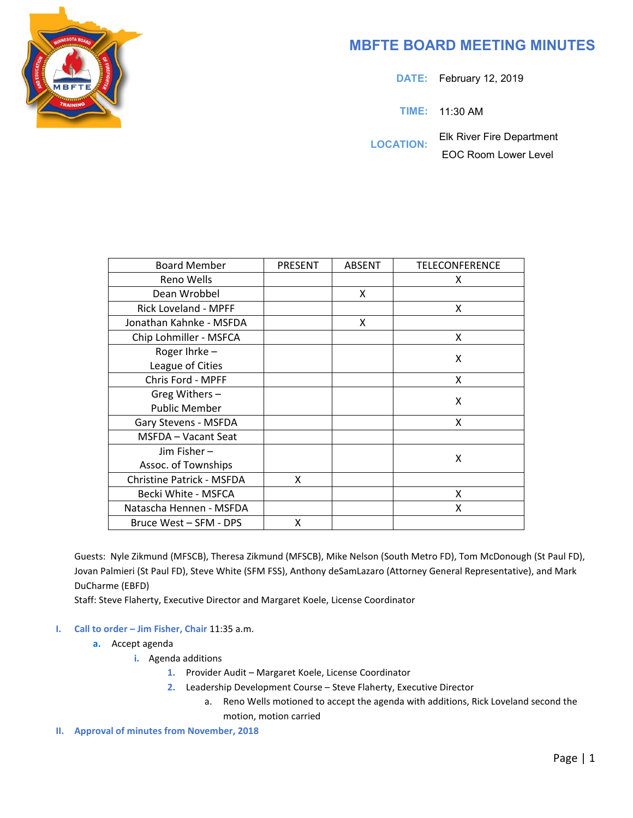

## **MBFTE BOARD MEETING MINUTES**

**DATE:** February 12, 2019

**TIME:** 11:30 AM

**LOCATION:** Elk River Fire Department EOC Room Lower Level

| <b>Board Member</b>              | PRESENT | <b>ABSENT</b> | TELECONFERENCE |
|----------------------------------|---------|---------------|----------------|
| Reno Wells                       |         |               | x              |
| Dean Wrobbel                     |         | X             |                |
| Rick Loveland - MPFF             |         |               | x              |
| Jonathan Kahnke - MSFDA          |         | X             |                |
| Chip Lohmiller - MSFCA           |         |               | X              |
| Roger Ihrke-                     |         |               | X              |
| League of Cities                 |         |               |                |
| Chris Ford - MPFF                |         |               | X              |
| Greg Withers -                   |         |               | X              |
| <b>Public Member</b>             |         |               |                |
| Gary Stevens - MSFDA             |         |               | X              |
| MSFDA - Vacant Seat              |         |               |                |
| Jim Fisher-                      |         |               | X              |
| Assoc. of Townships              |         |               |                |
| <b>Christine Patrick - MSFDA</b> | X       |               |                |
| Becki White - MSFCA              |         |               | X              |
| Natascha Hennen - MSFDA          |         |               | x              |
| Bruce West - SFM - DPS           | x       |               |                |

Guests: Nyle Zikmund (MFSCB), Theresa Zikmund (MFSCB), Mike Nelson (South Metro FD), Tom McDonough (St Paul FD), Jovan Palmieri (St Paul FD), Steve White (SFM FSS), Anthony deSamLazaro (Attorney General Representative), and Mark DuCharme (EBFD)

Staff: Steve Flaherty, Executive Director and Margaret Koele, License Coordinator

- **I. Call to order – Jim Fisher, Chair** 11:35 a.m.
	- **a.** Accept agenda
		- **i.** Agenda additions
			- **1.** Provider Audit Margaret Koele, License Coordinator
			- **2.** Leadership Development Course Steve Flaherty, Executive Director
				- a. Reno Wells motioned to accept the agenda with additions, Rick Loveland second the motion, motion carried
- **II. Approval of minutes from November, 2018**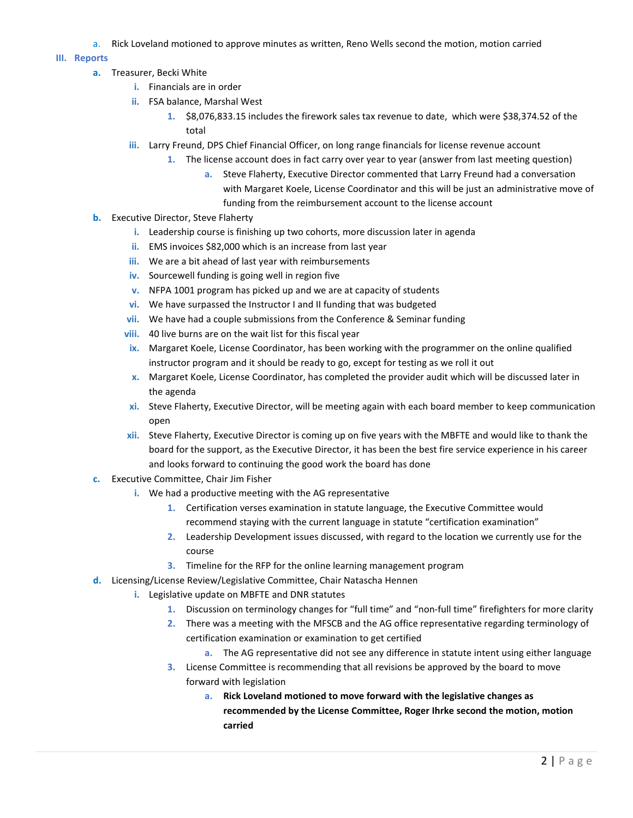a. Rick Loveland motioned to approve minutes as written, Reno Wells second the motion, motion carried

## **III. Reports**

- **a.** Treasurer, Becki White
	- **i.** Financials are in order
	- **ii.** FSA balance, Marshal West
		- **1.** \$8,076,833.15 includes the firework sales tax revenue to date, which were \$38,374.52 of the total
	- **iii.** Larry Freund, DPS Chief Financial Officer, on long range financials for license revenue account
		- **1.** The license account does in fact carry over year to year (answer from last meeting question)
			- **a.** Steve Flaherty, Executive Director commented that Larry Freund had a conversation with Margaret Koele, License Coordinator and this will be just an administrative move of funding from the reimbursement account to the license account
- **b.** Executive Director, Steve Flaherty
	- **i.** Leadership course is finishing up two cohorts, more discussion later in agenda
	- **ii.** EMS invoices \$82,000 which is an increase from last year
	- **iii.** We are a bit ahead of last year with reimbursements
	- **iv.** Sourcewell funding is going well in region five
	- **v.** NFPA 1001 program has picked up and we are at capacity of students
	- **vi.** We have surpassed the Instructor I and II funding that was budgeted
	- **vii.** We have had a couple submissions from the Conference & Seminar funding
	- **viii.** 40 live burns are on the wait list for this fiscal year
	- **ix.** Margaret Koele, License Coordinator, has been working with the programmer on the online qualified instructor program and it should be ready to go, except for testing as we roll it out
	- **x.** Margaret Koele, License Coordinator, has completed the provider audit which will be discussed later in the agenda
	- **xi.** Steve Flaherty, Executive Director, will be meeting again with each board member to keep communication open
	- **xii.** Steve Flaherty, Executive Director is coming up on five years with the MBFTE and would like to thank the board for the support, as the Executive Director, it has been the best fire service experience in his career and looks forward to continuing the good work the board has done
- **c.** Executive Committee, Chair Jim Fisher
	- **i.** We had a productive meeting with the AG representative
		- **1.** Certification verses examination in statute language, the Executive Committee would recommend staying with the current language in statute "certification examination"
		- **2.** Leadership Development issues discussed, with regard to the location we currently use for the course
		- **3.** Timeline for the RFP for the online learning management program
- **d.** Licensing/License Review/Legislative Committee, Chair Natascha Hennen
	- **i.** Legislative update on MBFTE and DNR statutes
		- **1.** Discussion on terminology changes for "full time" and "non-full time" firefighters for more clarity
		- **2.** There was a meeting with the MFSCB and the AG office representative regarding terminology of certification examination or examination to get certified
			- **a.** The AG representative did not see any difference in statute intent using either language
		- **3.** License Committee is recommending that all revisions be approved by the board to move forward with legislation
			- **a. Rick Loveland motioned to move forward with the legislative changes as recommended by the License Committee, Roger Ihrke second the motion, motion carried**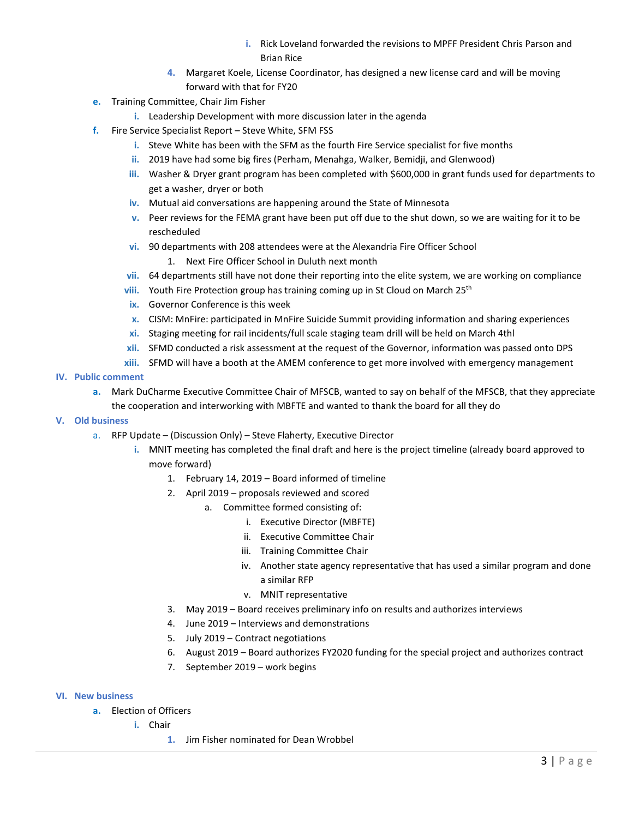- **i.** Rick Loveland forwarded the revisions to MPFF President Chris Parson and Brian Rice
- **4.** Margaret Koele, License Coordinator, has designed a new license card and will be moving forward with that for FY20
- **e.** Training Committee, Chair Jim Fisher
	- **i.** Leadership Development with more discussion later in the agenda
- **f.** Fire Service Specialist Report Steve White, SFM FSS
	- **i.** Steve White has been with the SFM as the fourth Fire Service specialist for five months
	- **ii.** 2019 have had some big fires (Perham, Menahga, Walker, Bemidji, and Glenwood)
	- **iii.** Washer & Dryer grant program has been completed with \$600,000 in grant funds used for departments to get a washer, dryer or both
	- **iv.** Mutual aid conversations are happening around the State of Minnesota
	- **v.** Peer reviews for the FEMA grant have been put off due to the shut down, so we are waiting for it to be rescheduled
	- **vi.** 90 departments with 208 attendees were at the Alexandria Fire Officer School
		- 1. Next Fire Officer School in Duluth next month
	- **vii.** 64 departments still have not done their reporting into the elite system, we are working on compliance
	- viii. Youth Fire Protection group has training coming up in St Cloud on March 25<sup>th</sup>
	- **ix.** Governor Conference is this week
	- **x.** CISM: MnFire: participated in MnFire Suicide Summit providing information and sharing experiences
	- **xi.** Staging meeting for rail incidents/full scale staging team drill will be held on March 4thl
	- **xii.** SFMD conducted a risk assessment at the request of the Governor, information was passed onto DPS
	- **xiii.** SFMD will have a booth at the AMEM conference to get more involved with emergency management
- **IV. Public comment**
	- **a.** Mark DuCharme Executive Committee Chair of MFSCB, wanted to say on behalf of the MFSCB, that they appreciate
	- the cooperation and interworking with MBFTE and wanted to thank the board for all they do
- **V. Old business**
	- a. RFP Update (Discussion Only) Steve Flaherty, Executive Director
		- **i.** MNIT meeting has completed the final draft and here is the project timeline (already board approved to move forward)
			- 1. February 14, 2019 Board informed of timeline
			- 2. April 2019 proposals reviewed and scored
				- a. Committee formed consisting of:
					- i. Executive Director (MBFTE)
					- ii. Executive Committee Chair
					- iii. Training Committee Chair
					- iv. Another state agency representative that has used a similar program and done a similar RFP
					- v. MNIT representative
			- 3. May 2019 Board receives preliminary info on results and authorizes interviews
			- 4. June 2019 Interviews and demonstrations
			- 5. July 2019 Contract negotiations
			- 6. August 2019 Board authorizes FY2020 funding for the special project and authorizes contract
			- 7. September 2019 work begins
- **VI. New business**
	- **a.** Election of Officers
		- **i.** Chair
			- **1.** Jim Fisher nominated for Dean Wrobbel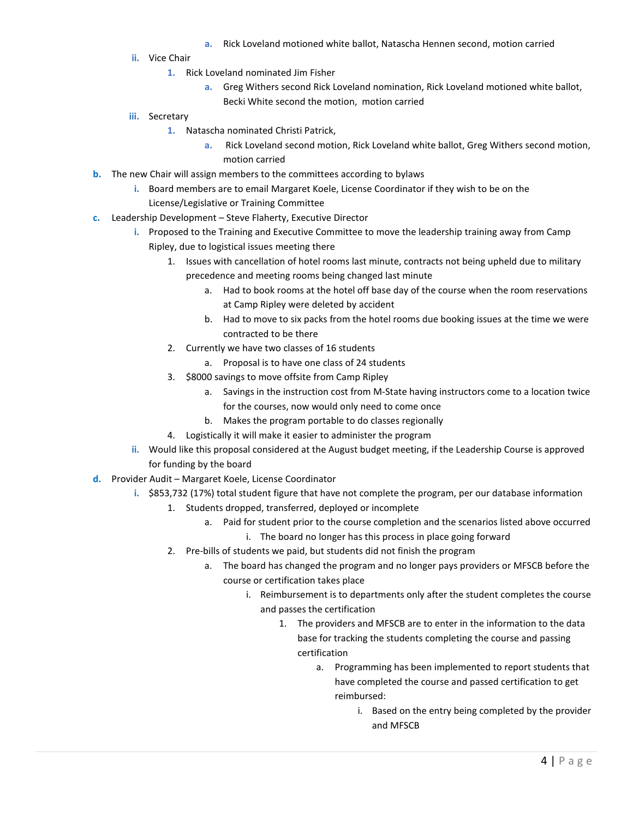- **a.** Rick Loveland motioned white ballot, Natascha Hennen second, motion carried
- **ii.** Vice Chair
	- **1.** Rick Loveland nominated Jim Fisher
		- **a.** Greg Withers second Rick Loveland nomination, Rick Loveland motioned white ballot, Becki White second the motion, motion carried
- **iii.** Secretary
	- **1.** Natascha nominated Christi Patrick,
		- **a.** Rick Loveland second motion, Rick Loveland white ballot, Greg Withers second motion, motion carried
- **b.** The new Chair will assign members to the committees according to bylaws
	- **i.** Board members are to email Margaret Koele, License Coordinator if they wish to be on the License/Legislative or Training Committee
- **c.** Leadership Development Steve Flaherty, Executive Director
	- **i.** Proposed to the Training and Executive Committee to move the leadership training away from Camp Ripley, due to logistical issues meeting there
		- 1. Issues with cancellation of hotel rooms last minute, contracts not being upheld due to military precedence and meeting rooms being changed last minute
			- a. Had to book rooms at the hotel off base day of the course when the room reservations at Camp Ripley were deleted by accident
			- b. Had to move to six packs from the hotel rooms due booking issues at the time we were contracted to be there
		- 2. Currently we have two classes of 16 students
			- a. Proposal is to have one class of 24 students
		- 3. \$8000 savings to move offsite from Camp Ripley
			- a. Savings in the instruction cost from M-State having instructors come to a location twice for the courses, now would only need to come once
			- b. Makes the program portable to do classes regionally
		- 4. Logistically it will make it easier to administer the program
	- **ii.** Would like this proposal considered at the August budget meeting, if the Leadership Course is approved for funding by the board
- **d.** Provider Audit Margaret Koele, License Coordinator
	- **i.** \$853,732 (17%) total student figure that have not complete the program, per our database information
		- 1. Students dropped, transferred, deployed or incomplete
			- a. Paid for student prior to the course completion and the scenarios listed above occurred i. The board no longer has this process in place going forward
		- 2. Pre-bills of students we paid, but students did not finish the program
			- a. The board has changed the program and no longer pays providers or MFSCB before the course or certification takes place
				- i. Reimbursement is to departments only after the student completes the course and passes the certification
					- 1. The providers and MFSCB are to enter in the information to the data base for tracking the students completing the course and passing certification
						- a. Programming has been implemented to report students that have completed the course and passed certification to get reimbursed:
							- i. Based on the entry being completed by the provider and MFSCB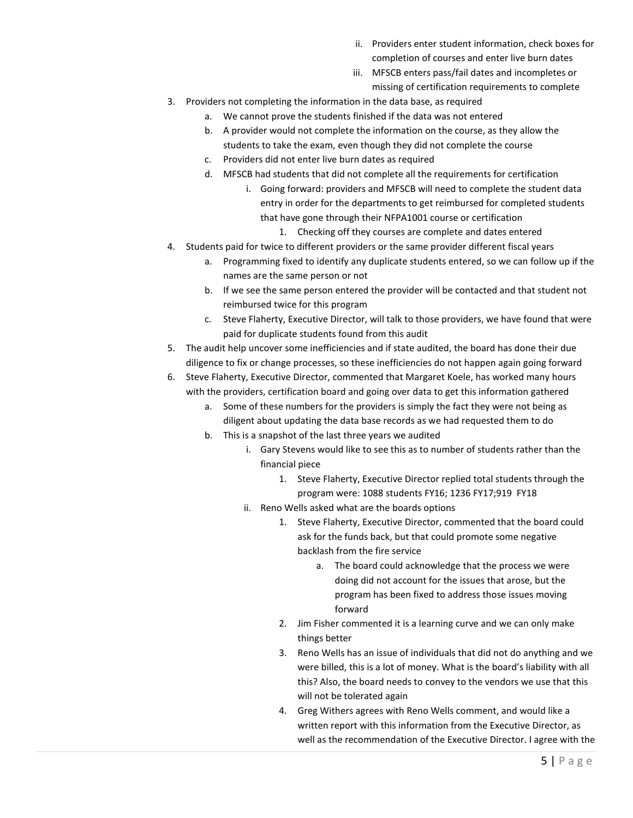- ii. Providers enter student information, check boxes for completion of courses and enter live burn dates
- iii. MFSCB enters pass/fail dates and incompletes or missing of certification requirements to complete
- 3. Providers not completing the information in the data base, as required
	- a. We cannot prove the students finished if the data was not entered
	- b. A provider would not complete the information on the course, as they allow the students to take the exam, even though they did not complete the course
	- c. Providers did not enter live burn dates as required
	- d. MFSCB had students that did not complete all the requirements for certification
		- i. Going forward: providers and MFSCB will need to complete the student data entry in order for the departments to get reimbursed for completed students that have gone through their NFPA1001 course or certification
			- 1. Checking off they courses are complete and dates entered
- 4. Students paid for twice to different providers or the same provider different fiscal years
	- a. Programming fixed to identify any duplicate students entered, so we can follow up if the names are the same person or not
	- b. If we see the same person entered the provider will be contacted and that student not reimbursed twice for this program
	- c. Steve Flaherty, Executive Director, will talk to those providers, we have found that were paid for duplicate students found from this audit
- 5. The audit help uncover some inefficiencies and if state audited, the board has done their due diligence to fix or change processes, so these inefficiencies do not happen again going forward

6. Steve Flaherty, Executive Director, commented that Margaret Koele, has worked many hours with the providers, certification board and going over data to get this information gathered

- a. Some of these numbers for the providers is simply the fact they were not being as diligent about updating the data base records as we had requested them to do
- b. This is a snapshot of the last three years we audited
	- i. Gary Stevens would like to see this as to number of students rather than the financial piece
		- 1. Steve Flaherty, Executive Director replied total students through the program were: 1088 students FY16; 1236 FY17;919 FY18
	- ii. Reno Wells asked what are the boards options
		- 1. Steve Flaherty, Executive Director, commented that the board could ask for the funds back, but that could promote some negative backlash from the fire service
			- a. The board could acknowledge that the process we were doing did not account for the issues that arose, but the program has been fixed to address those issues moving forward
		- 2. Jim Fisher commented it is a learning curve and we can only make things better
		- 3. Reno Wells has an issue of individuals that did not do anything and we were billed, this is a lot of money. What is the board's liability with all this? Also, the board needs to convey to the vendors we use that this will not be tolerated again
		- 4. Greg Withers agrees with Reno Wells comment, and would like a written report with this information from the Executive Director, as well as the recommendation of the Executive Director. I agree with the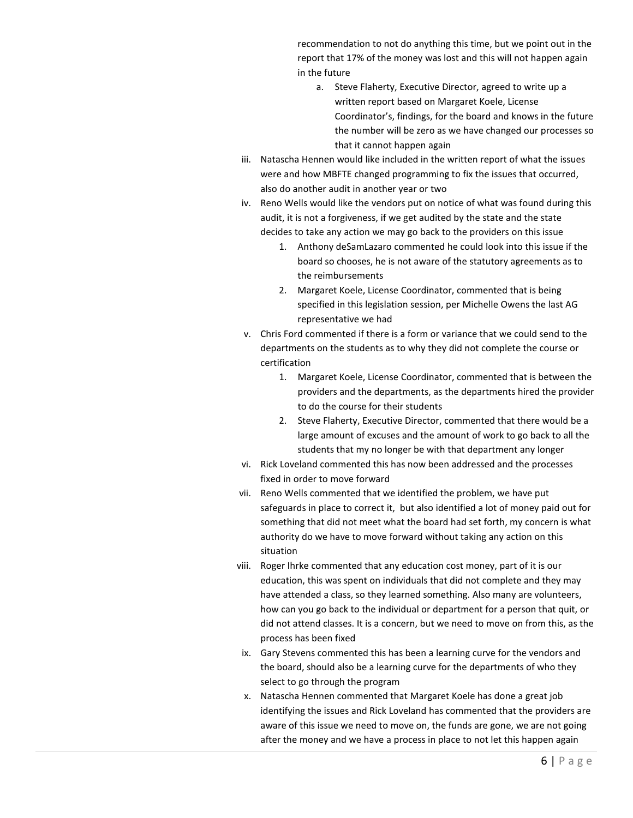recommendation to not do anything this time, but we point out in the report that 17% of the money was lost and this will not happen again in the future

- a. Steve Flaherty, Executive Director, agreed to write up a written report based on Margaret Koele, License Coordinator's, findings, for the board and knows in the future the number will be zero as we have changed our processes so that it cannot happen again
- iii. Natascha Hennen would like included in the written report of what the issues were and how MBFTE changed programming to fix the issues that occurred, also do another audit in another year or two
- iv. Reno Wells would like the vendors put on notice of what was found during this audit, it is not a forgiveness, if we get audited by the state and the state decides to take any action we may go back to the providers on this issue
	- 1. Anthony deSamLazaro commented he could look into this issue if the board so chooses, he is not aware of the statutory agreements as to the reimbursements
	- 2. Margaret Koele, License Coordinator, commented that is being specified in this legislation session, per Michelle Owens the last AG representative we had
- v. Chris Ford commented if there is a form or variance that we could send to the departments on the students as to why they did not complete the course or certification
	- 1. Margaret Koele, License Coordinator, commented that is between the providers and the departments, as the departments hired the provider to do the course for their students
	- 2. Steve Flaherty, Executive Director, commented that there would be a large amount of excuses and the amount of work to go back to all the students that my no longer be with that department any longer
- vi. Rick Loveland commented this has now been addressed and the processes fixed in order to move forward
- vii. Reno Wells commented that we identified the problem, we have put safeguards in place to correct it, but also identified a lot of money paid out for something that did not meet what the board had set forth, my concern is what authority do we have to move forward without taking any action on this situation
- viii. Roger Ihrke commented that any education cost money, part of it is our education, this was spent on individuals that did not complete and they may have attended a class, so they learned something. Also many are volunteers, how can you go back to the individual or department for a person that quit, or did not attend classes. It is a concern, but we need to move on from this, as the process has been fixed
- ix. Gary Stevens commented this has been a learning curve for the vendors and the board, should also be a learning curve for the departments of who they select to go through the program
- x. Natascha Hennen commented that Margaret Koele has done a great job identifying the issues and Rick Loveland has commented that the providers are aware of this issue we need to move on, the funds are gone, we are not going after the money and we have a process in place to not let this happen again